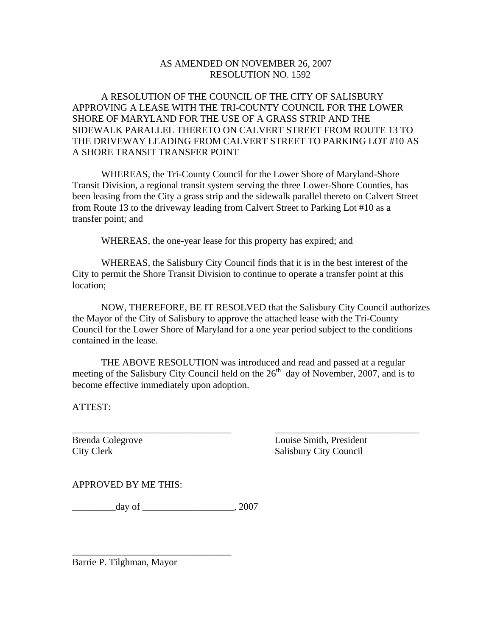## AS AMENDED ON NOVEMBER 26, 2007 RESOLUTION NO. 1592

 A RESOLUTION OF THE COUNCIL OF THE CITY OF SALISBURY APPROVING A LEASE WITH THE TRI-COUNTY COUNCIL FOR THE LOWER SHORE OF MARYLAND FOR THE USE OF A GRASS STRIP AND THE SIDEWALK PARALLEL THERETO ON CALVERT STREET FROM ROUTE 13 TO THE DRIVEWAY LEADING FROM CALVERT STREET TO PARKING LOT #10 AS A SHORE TRANSIT TRANSFER POINT

 WHEREAS, the Tri-County Council for the Lower Shore of Maryland-Shore Transit Division, a regional transit system serving the three Lower-Shore Counties, has been leasing from the City a grass strip and the sidewalk parallel thereto on Calvert Street from Route 13 to the driveway leading from Calvert Street to Parking Lot #10 as a transfer point; and

WHEREAS, the one-year lease for this property has expired; and

 WHEREAS, the Salisbury City Council finds that it is in the best interest of the City to permit the Shore Transit Division to continue to operate a transfer point at this location;

 NOW, THEREFORE, BE IT RESOLVED that the Salisbury City Council authorizes the Mayor of the City of Salisbury to approve the attached lease with the Tri-County Council for the Lower Shore of Maryland for a one year period subject to the conditions contained in the lease.

 THE ABOVE RESOLUTION was introduced and read and passed at a regular meeting of the Salisbury City Council held on the  $26<sup>th</sup>$  day of November, 2007, and is to become effective immediately upon adoption.

ATTEST:

\_\_\_\_\_\_\_\_\_\_\_\_\_\_\_\_\_\_\_\_\_\_\_\_\_\_\_\_\_\_\_\_\_ \_\_\_\_\_\_\_\_\_\_\_\_\_\_\_\_\_\_\_\_\_\_\_\_\_\_\_\_\_\_

Brenda Colegrove Louise Smith, President City Clerk Salisbury City Council

APPROVED BY ME THIS:

\_\_\_\_\_\_\_\_\_day of \_\_\_\_\_\_\_\_\_\_\_\_\_\_\_\_\_\_\_, 2007

\_\_\_\_\_\_\_\_\_\_\_\_\_\_\_\_\_\_\_\_\_\_\_\_\_\_\_\_\_\_\_\_\_

Barrie P. Tilghman, Mayor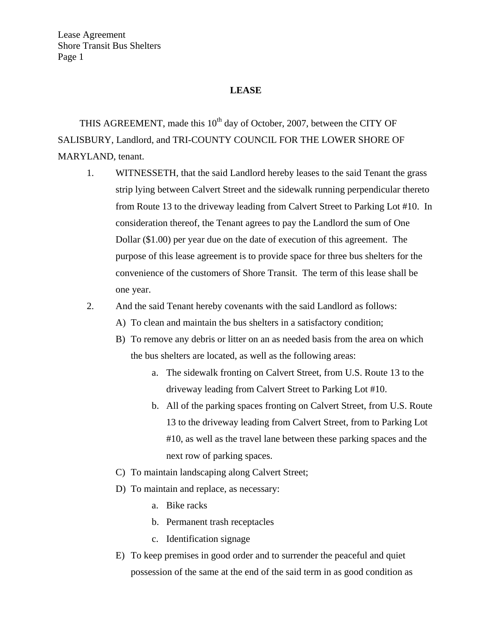## **LEASE**

THIS AGREEMENT, made this  $10^{th}$  day of October, 2007, between the CITY OF SALISBURY, Landlord, and TRI-COUNTY COUNCIL FOR THE LOWER SHORE OF MARYLAND, tenant.

- 1. WITNESSETH, that the said Landlord hereby leases to the said Tenant the grass strip lying between Calvert Street and the sidewalk running perpendicular thereto from Route 13 to the driveway leading from Calvert Street to Parking Lot #10. In consideration thereof, the Tenant agrees to pay the Landlord the sum of One Dollar (\$1.00) per year due on the date of execution of this agreement. The purpose of this lease agreement is to provide space for three bus shelters for the convenience of the customers of Shore Transit. The term of this lease shall be one year.
- 2. And the said Tenant hereby covenants with the said Landlord as follows:
	- A) To clean and maintain the bus shelters in a satisfactory condition;
	- B) To remove any debris or litter on an as needed basis from the area on which the bus shelters are located, as well as the following areas:
		- a. The sidewalk fronting on Calvert Street, from U.S. Route 13 to the driveway leading from Calvert Street to Parking Lot #10.
		- b. All of the parking spaces fronting on Calvert Street, from U.S. Route 13 to the driveway leading from Calvert Street, from to Parking Lot #10, as well as the travel lane between these parking spaces and the next row of parking spaces.
	- C) To maintain landscaping along Calvert Street;
	- D) To maintain and replace, as necessary:
		- a. Bike racks
		- b. Permanent trash receptacles
		- c. Identification signage
	- E) To keep premises in good order and to surrender the peaceful and quiet possession of the same at the end of the said term in as good condition as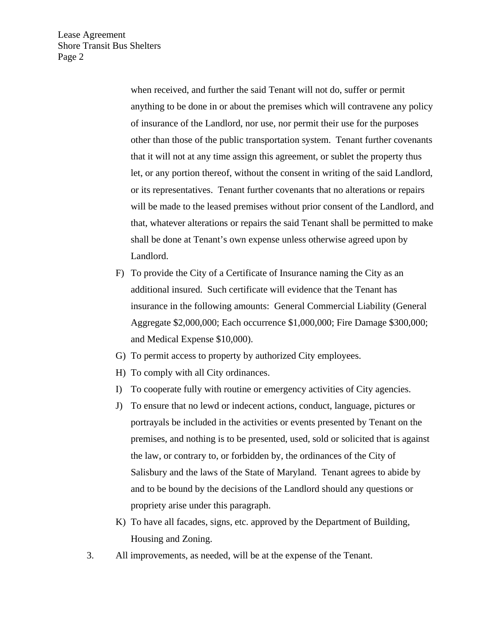> when received, and further the said Tenant will not do, suffer or permit anything to be done in or about the premises which will contravene any policy of insurance of the Landlord, nor use, nor permit their use for the purposes other than those of the public transportation system. Tenant further covenants that it will not at any time assign this agreement, or sublet the property thus let, or any portion thereof, without the consent in writing of the said Landlord, or its representatives. Tenant further covenants that no alterations or repairs will be made to the leased premises without prior consent of the Landlord, and that, whatever alterations or repairs the said Tenant shall be permitted to make shall be done at Tenant's own expense unless otherwise agreed upon by Landlord.

- F) To provide the City of a Certificate of Insurance naming the City as an additional insured. Such certificate will evidence that the Tenant has insurance in the following amounts: General Commercial Liability (General Aggregate \$2,000,000; Each occurrence \$1,000,000; Fire Damage \$300,000; and Medical Expense \$10,000).
- G) To permit access to property by authorized City employees.
- H) To comply with all City ordinances.
- I) To cooperate fully with routine or emergency activities of City agencies.
- J) To ensure that no lewd or indecent actions, conduct, language, pictures or portrayals be included in the activities or events presented by Tenant on the premises, and nothing is to be presented, used, sold or solicited that is against the law, or contrary to, or forbidden by, the ordinances of the City of Salisbury and the laws of the State of Maryland. Tenant agrees to abide by and to be bound by the decisions of the Landlord should any questions or propriety arise under this paragraph.
- K) To have all facades, signs, etc. approved by the Department of Building, Housing and Zoning.
- 3. All improvements, as needed, will be at the expense of the Tenant.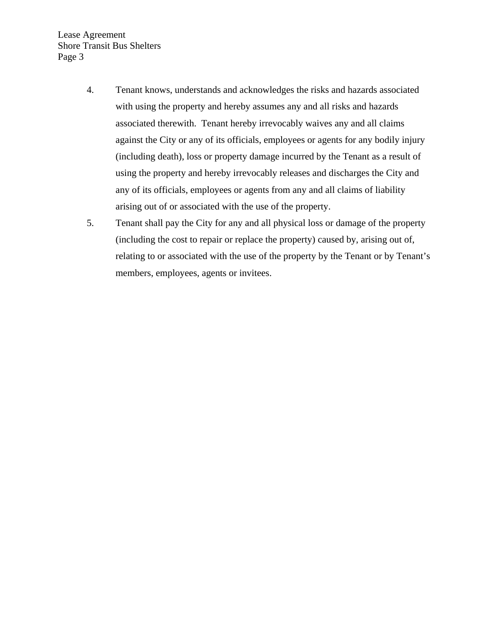- 4. Tenant knows, understands and acknowledges the risks and hazards associated with using the property and hereby assumes any and all risks and hazards associated therewith. Tenant hereby irrevocably waives any and all claims against the City or any of its officials, employees or agents for any bodily injury (including death), loss or property damage incurred by the Tenant as a result of using the property and hereby irrevocably releases and discharges the City and any of its officials, employees or agents from any and all claims of liability arising out of or associated with the use of the property.
- 5. Tenant shall pay the City for any and all physical loss or damage of the property (including the cost to repair or replace the property) caused by, arising out of, relating to or associated with the use of the property by the Tenant or by Tenant's members, employees, agents or invitees.